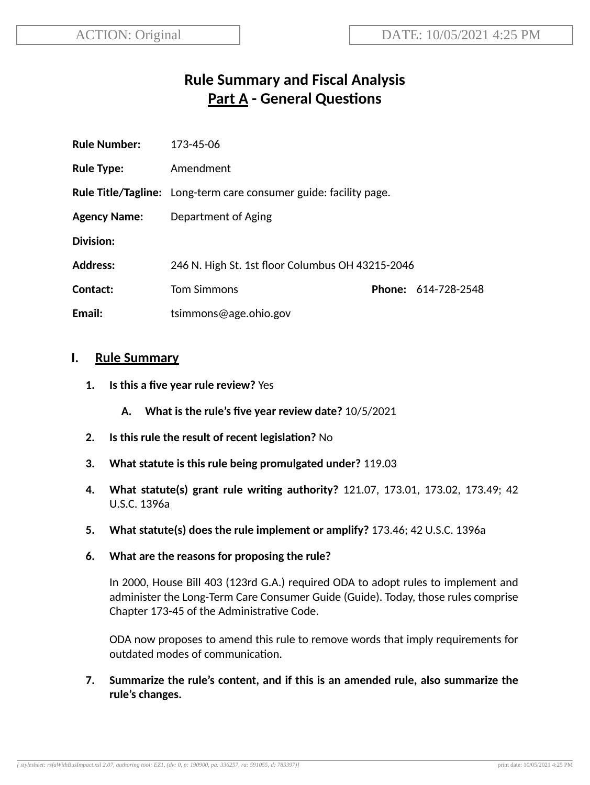# **Rule Summary and Fiscal Analysis Part A - General Questions**

| <b>Rule Number:</b> | 173-45-06                                                                |  |                            |
|---------------------|--------------------------------------------------------------------------|--|----------------------------|
| <b>Rule Type:</b>   | Amendment                                                                |  |                            |
|                     | <b>Rule Title/Tagline:</b> Long-term care consumer guide: facility page. |  |                            |
| <b>Agency Name:</b> | Department of Aging                                                      |  |                            |
| Division:           |                                                                          |  |                            |
| <b>Address:</b>     | 246 N. High St. 1st floor Columbus OH 43215-2046                         |  |                            |
| Contact:            | <b>Tom Simmons</b>                                                       |  | <b>Phone: 614-728-2548</b> |
| Email:              | tsimmons@age.ohio.gov                                                    |  |                            |

#### **I. Rule Summary**

- **1. Is this a five year rule review?** Yes
	- **A. What is the rule's five year review date?** 10/5/2021
- **2.** Is this rule the result of recent legislation? No
- **3. What statute is this rule being promulgated under?** 119.03
- **4. What statute(s) grant rule wring authority?** 121.07, 173.01, 173.02, 173.49; 42 U.S.C. 1396a
- **5. What statute(s) does the rule implement or amplify?** 173.46; 42 U.S.C. 1396a
- **6. What are the reasons for proposing the rule?**

In 2000, House Bill 403 (123rd G.A.) required ODA to adopt rules to implement and administer the Long-Term Care Consumer Guide (Guide). Today, those rules comprise Chapter 173-45 of the Administrative Code.

ODA now proposes to amend this rule to remove words that imply requirements for outdated modes of communication.

**7. Summarize the rule's content, and if this is an amended rule, also summarize the rule's changes.**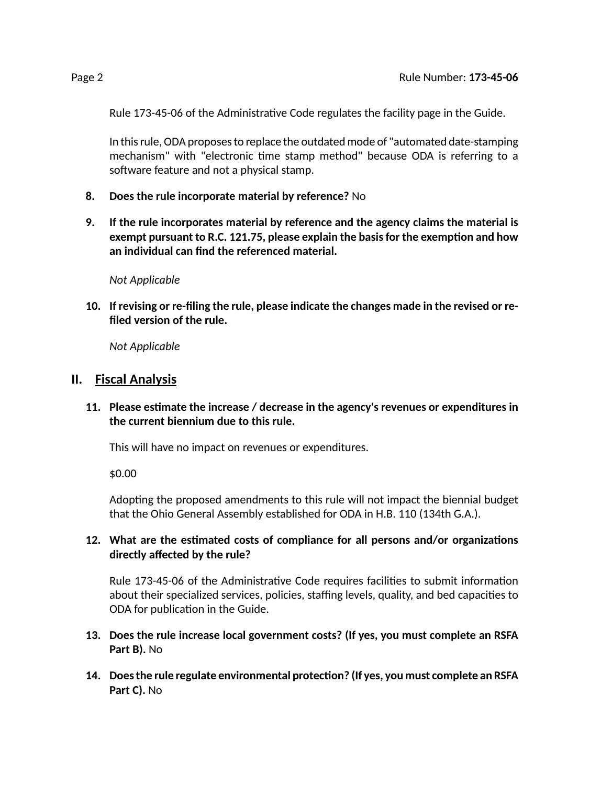Rule 173-45-06 of the Administrative Code regulates the facility page in the Guide.

In this rule, ODA proposes to replace the outdated mode of "automated date-stamping mechanism" with "electronic time stamp method" because ODA is referring to a software feature and not a physical stamp.

- **8. Does the rule incorporate material by reference?** No
- **9. If the rule incorporates material by reference and the agency claims the material is exempt pursuant to R.C. 121.75, please explain the basisfor the exempon and how an individual can find the referenced material.**

*Not Applicable*

**10. If revising or re-filing the rule, please indicate the changes made in the revised or refiled version of the rule.**

*Not Applicable*

#### **II. Fiscal Analysis**

**11. Please esmate the increase / decrease in the agency's revenues or expenditures in the current biennium due to this rule.**

This will have no impact on revenues or expenditures.

\$0.00

Adopting the proposed amendments to this rule will not impact the biennial budget that the Ohio General Assembly established for ODA in H.B. 110 (134th G.A.).

#### **12. What are the esmated costs of compliance for all persons and/or organizaons directly affected by the rule?**

Rule 173-45-06 of the Administrative Code requires facilities to submit information about their specialized services, policies, staffing levels, quality, and bed capacities to ODA for publication in the Guide.

- **13. Does the rule increase local government costs? (If yes, you must complete an RSFA Part B).** No
- **14. Doesthe rule regulate environmental protecon? (If yes, you must complete an RSFA Part C).** No